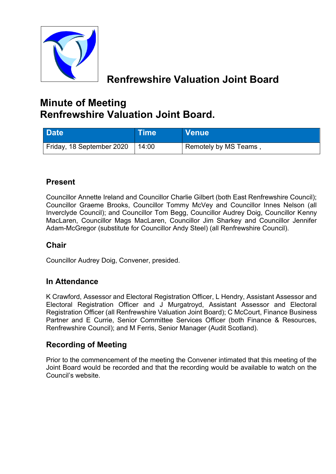

# **Renfrewshire Valuation Joint Board**

# **Minute of Meeting Renfrewshire Valuation Joint Board.**

| <b>Date</b>               | <b>Time</b> | <b>Venue</b>                       |
|---------------------------|-------------|------------------------------------|
| Friday, 18 September 2020 | 14:00       | <sup>1</sup> Remotely by MS Teams, |

# **Present**

Councillor Annette Ireland and Councillor Charlie Gilbert (both East Renfrewshire Council); Councillor Graeme Brooks, Councillor Tommy McVey and Councillor Innes Nelson (all Inverclyde Council); and Councillor Tom Begg, Councillor Audrey Doig, Councillor Kenny MacLaren, Councillor Mags MacLaren, Councillor Jim Sharkey and Councillor Jennifer Adam-McGregor (substitute for Councillor Andy Steel) (all Renfrewshire Council).

# **Chair**

Councillor Audrey Doig, Convener, presided.

### **In Attendance**

K Crawford, Assessor and Electoral Registration Officer, L Hendry, Assistant Assessor and Electoral Registration Officer and J Murgatroyd, Assistant Assessor and Electoral Registration Officer (all Renfrewshire Valuation Joint Board); C McCourt, Finance Business Partner and E Currie, Senior Committee Services Officer (both Finance & Resources, Renfrewshire Council); and M Ferris, Senior Manager (Audit Scotland).

# **Recording of Meeting**

Prior to the commencement of the meeting the Convener intimated that this meeting of the Joint Board would be recorded and that the recording would be available to watch on the Council's website.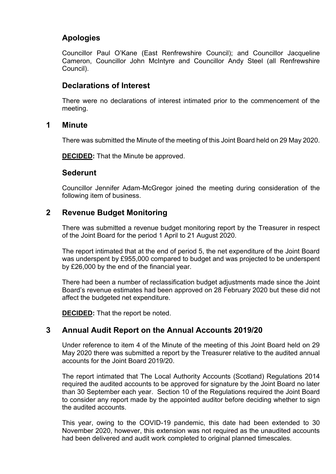# **Apologies**

Councillor Paul O'Kane (East Renfrewshire Council); and Councillor Jacqueline Cameron, Councillor John McIntyre and Councillor Andy Steel (all Renfrewshire Council).

# **Declarations of Interest**

There were no declarations of interest intimated prior to the commencement of the meeting.

#### **1 Minute**

There was submitted the Minute of the meeting of this Joint Board held on 29 May 2020.

**DECIDED:** That the Minute be approved.

### **Sederunt**

Councillor Jennifer Adam-McGregor joined the meeting during consideration of the following item of business.

## **2 Revenue Budget Monitoring**

There was submitted a revenue budget monitoring report by the Treasurer in respect of the Joint Board for the period 1 April to 21 August 2020.

The report intimated that at the end of period 5, the net expenditure of the Joint Board was underspent by £955,000 compared to budget and was projected to be underspent by £26,000 by the end of the financial year.

There had been a number of reclassification budget adjustments made since the Joint Board's revenue estimates had been approved on 28 February 2020 but these did not affect the budgeted net expenditure.

**DECIDED:** That the report be noted.

# **3 Annual Audit Report on the Annual Accounts 2019/20**

Under reference to item 4 of the Minute of the meeting of this Joint Board held on 29 May 2020 there was submitted a report by the Treasurer relative to the audited annual accounts for the Joint Board 2019/20.

The report intimated that The Local Authority Accounts (Scotland) Regulations 2014 required the audited accounts to be approved for signature by the Joint Board no later than 30 September each year. Section 10 of the Regulations required the Joint Board to consider any report made by the appointed auditor before deciding whether to sign the audited accounts.

This year, owing to the COVID-19 pandemic, this date had been extended to 30 November 2020, however, this extension was not required as the unaudited accounts had been delivered and audit work completed to original planned timescales.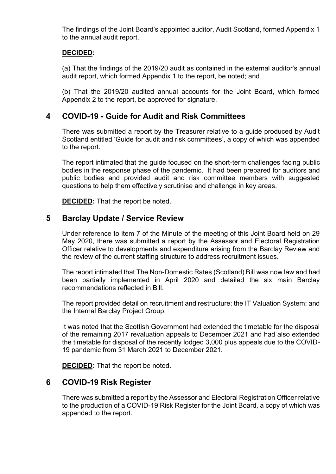The findings of the Joint Board's appointed auditor, Audit Scotland, formed Appendix 1 to the annual audit report.

#### **DECIDED:**

(a) That the findings of the 2019/20 audit as contained in the external auditor's annual audit report, which formed Appendix 1 to the report, be noted; and

(b) That the 2019/20 audited annual accounts for the Joint Board, which formed Appendix 2 to the report, be approved for signature.

## **4 COVID-19 - Guide for Audit and Risk Committees**

There was submitted a report by the Treasurer relative to a guide produced by Audit Scotland entitled 'Guide for audit and risk committees', a copy of which was appended to the report.

The report intimated that the guide focused on the short-term challenges facing public bodies in the response phase of the pandemic. It had been prepared for auditors and public bodies and provided audit and risk committee members with suggested questions to help them effectively scrutinise and challenge in key areas.

**DECIDED:** That the report be noted.

### **5 Barclay Update / Service Review**

Under reference to item 7 of the Minute of the meeting of this Joint Board held on 29 May 2020, there was submitted a report by the Assessor and Electoral Registration Officer relative to developments and expenditure arising from the Barclay Review and the review of the current staffing structure to address recruitment issues.

The report intimated that The Non-Domestic Rates (Scotland) Bill was now law and had been partially implemented in April 2020 and detailed the six main Barclay recommendations reflected in Bill.

The report provided detail on recruitment and restructure; the IT Valuation System; and the Internal Barclay Project Group.

It was noted that the Scottish Government had extended the timetable for the disposal of the remaining 2017 revaluation appeals to December 2021 and had also extended the timetable for disposal of the recently lodged 3,000 plus appeals due to the COVID-19 pandemic from 31 March 2021 to December 2021.

**DECIDED:** That the report be noted.

### **6 COVID-19 Risk Register**

There was submitted a report by the Assessor and Electoral Registration Officer relative to the production of a COVID-19 Risk Register for the Joint Board, a copy of which was appended to the report.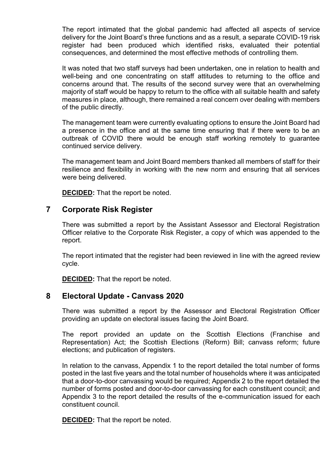The report intimated that the global pandemic had affected all aspects of service delivery for the Joint Board's three functions and as a result, a separate COVID-19 risk register had been produced which identified risks, evaluated their potential consequences, and determined the most effective methods of controlling them.

It was noted that two staff surveys had been undertaken, one in relation to health and well-being and one concentrating on staff attitudes to returning to the office and concerns around that. The results of the second survey were that an overwhelming majority of staff would be happy to return to the office with all suitable health and safety measures in place, although, there remained a real concern over dealing with members of the public directly.

The management team were currently evaluating options to ensure the Joint Board had a presence in the office and at the same time ensuring that if there were to be an outbreak of COVID there would be enough staff working remotely to guarantee continued service delivery.

The management team and Joint Board members thanked all members of staff for their resilience and flexibility in working with the new norm and ensuring that all services were being delivered.

**DECIDED:** That the report be noted.

#### **7 Corporate Risk Register**

There was submitted a report by the Assistant Assessor and Electoral Registration Officer relative to the Corporate Risk Register, a copy of which was appended to the report.

The report intimated that the register had been reviewed in line with the agreed review cycle.

**DECIDED:** That the report be noted.

#### **8 Electoral Update - Canvass 2020**

There was submitted a report by the Assessor and Electoral Registration Officer providing an update on electoral issues facing the Joint Board.

The report provided an update on the Scottish Elections (Franchise and Representation) Act; the Scottish Elections (Reform) Bill; canvass reform; future elections; and publication of registers.

In relation to the canvass, Appendix 1 to the report detailed the total number of forms posted in the last five years and the total number of households where it was anticipated that a door-to-door canvassing would be required; Appendix 2 to the report detailed the number of forms posted and door-to-door canvassing for each constituent council; and Appendix 3 to the report detailed the results of the e-communication issued for each constituent council.

**DECIDED:** That the report be noted.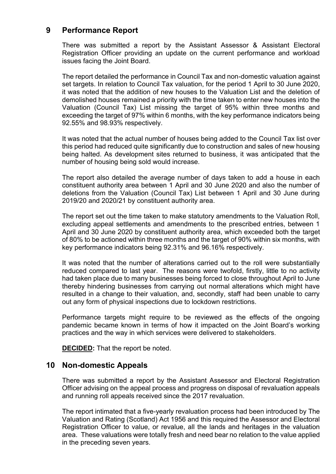## **9 Performance Report**

There was submitted a report by the Assistant Assessor & Assistant Electoral Registration Officer providing an update on the current performance and workload issues facing the Joint Board.

The report detailed the performance in Council Tax and non-domestic valuation against set targets. In relation to Council Tax valuation, for the period 1 April to 30 June 2020, it was noted that the addition of new houses to the Valuation List and the deletion of demolished houses remained a priority with the time taken to enter new houses into the Valuation (Council Tax) List missing the target of 95% within three months and exceeding the target of 97% within 6 months, with the key performance indicators being 92.55% and 98.93% respectively.

It was noted that the actual number of houses being added to the Council Tax list over this period had reduced quite significantly due to construction and sales of new housing being halted. As development sites returned to business, it was anticipated that the number of housing being sold would increase.

The report also detailed the average number of days taken to add a house in each constituent authority area between 1 April and 30 June 2020 and also the number of deletions from the Valuation (Council Tax) List between 1 April and 30 June during 2019/20 and 2020/21 by constituent authority area.

The report set out the time taken to make statutory amendments to the Valuation Roll, excluding appeal settlements and amendments to the prescribed entries, between 1 April and 30 June 2020 by constituent authority area, which exceeded both the target of 80% to be actioned within three months and the target of 90% within six months, with key performance indicators being 92.31% and 96.16% respectively.

It was noted that the number of alterations carried out to the roll were substantially reduced compared to last year. The reasons were twofold, firstly, little to no activity had taken place due to many businesses being forced to close throughout April to June thereby hindering businesses from carrying out normal alterations which might have resulted in a change to their valuation, and, secondly, staff had been unable to carry out any form of physical inspections due to lockdown restrictions.

Performance targets might require to be reviewed as the effects of the ongoing pandemic became known in terms of how it impacted on the Joint Board's working practices and the way in which services were delivered to stakeholders.

**DECIDED:** That the report be noted.

### **10 Non-domestic Appeals**

There was submitted a report by the Assistant Assessor and Electoral Registration Officer advising on the appeal process and progress on disposal of revaluation appeals and running roll appeals received since the 2017 revaluation.

The report intimated that a five-yearly revaluation process had been introduced by The Valuation and Rating (Scotland) Act 1956 and this required the Assessor and Electoral Registration Officer to value, or revalue, all the lands and heritages in the valuation area. These valuations were totally fresh and need bear no relation to the value applied in the preceding seven years.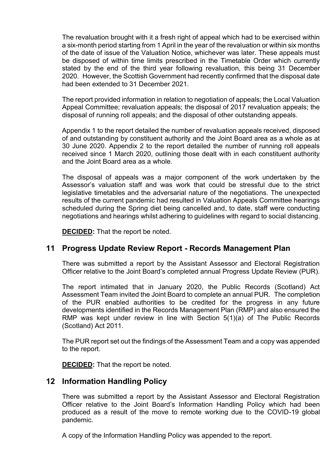The revaluation brought with it a fresh right of appeal which had to be exercised within a six-month period starting from 1 April in the year of the revaluation or within six months of the date of issue of the Valuation Notice, whichever was later. These appeals must be disposed of within time limits prescribed in the Timetable Order which currently stated by the end of the third year following revaluation, this being 31 December 2020. However, the Scottish Government had recently confirmed that the disposal date had been extended to 31 December 2021.

The report provided information in relation to negotiation of appeals; the Local Valuation Appeal Committee; revaluation appeals; the disposal of 2017 revaluation appeals; the disposal of running roll appeals; and the disposal of other outstanding appeals.

Appendix 1 to the report detailed the number of revaluation appeals received, disposed of and outstanding by constituent authority and the Joint Board area as a whole as at 30 June 2020. Appendix 2 to the report detailed the number of running roll appeals received since 1 March 2020, outlining those dealt with in each constituent authority and the Joint Board area as a whole.

The disposal of appeals was a major component of the work undertaken by the Assessor's valuation staff and was work that could be stressful due to the strict legislative timetables and the adversarial nature of the negotiations. The unexpected results of the current pandemic had resulted in Valuation Appeals Committee hearings scheduled during the Spring diet being cancelled and, to date, staff were conducting negotiations and hearings whilst adhering to guidelines with regard to social distancing.

**DECIDED:** That the report be noted.

### **11 Progress Update Review Report - Records Management Plan**

There was submitted a report by the Assistant Assessor and Electoral Registration Officer relative to the Joint Board's completed annual Progress Update Review (PUR).

The report intimated that in January 2020, the Public Records (Scotland) Act Assessment Team invited the Joint Board to complete an annual PUR. The completion of the PUR enabled authorities to be credited for the progress in any future developments identified in the Records Management Plan (RMP) and also ensured the RMP was kept under review in line with Section 5(1)(a) of The Public Records (Scotland) Act 2011.

The PUR report set out the findings of the Assessment Team and a copy was appended to the report.

**DECIDED:** That the report be noted.

### **12 Information Handling Policy**

There was submitted a report by the Assistant Assessor and Electoral Registration Officer relative to the Joint Board's Information Handling Policy which had been produced as a result of the move to remote working due to the COVID-19 global pandemic.

A copy of the Information Handling Policy was appended to the report.